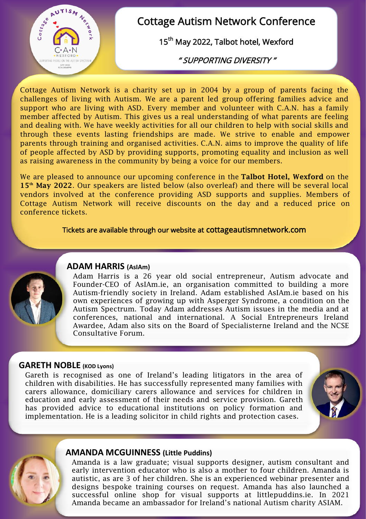

# Cottage Autism Network Conference

15<sup>th</sup> May 2022, Talbot hotel, Wexford

" SUPPORTING DIVERSITY "

Cottage Autism Network is a charity set up in 2004 by a group of parents facing the challenges of living with Autism. We are a parent led group offering families advice and support who are living with ASD. Every member and volunteer with C.A.N. has a family member affected by Autism. This gives us a real understanding of what parents are feeling and dealing with. We have weekly activities for all our children to help with social skills and through these events lasting friendships are made. We strive to enable and empower parents through training and organised activities. C.A.N. aims to improve the quality of life of people affected by ASD by providing supports, promoting equality and inclusion as well as raising awareness in the community by being a voice for our members.

We are pleased to announce our upcoming conference in the **Talbot Hotel, Wexford** on the **15th May 2022**. Our speakers are listed below (also overleaf) and there will be several local vendors involved at the conference providing ASD supports and supplies. Members of Cottage Autism Network will receive discounts on the day and a reduced price on conference tickets.

### Tickets are available through our website at cottageautismnetwork.com



#### **ADAM HARRIS (AsIAm)**

Adam Harris is a 26 year old social entrepreneur, Autism advocate and Founder-CEO of AsIAm.ie, an organisation committed to building a more Autism-friendly society in Ireland. Adam established AsIAm.ie based on his own experiences of growing up with Asperger Syndrome, a condition on the Autism Spectrum. Today Adam addresses Autism issues in the media and at conferences, national and international. A Social Entrepreneurs Ireland Awardee, Adam also sits on the Board of Specialisterne Ireland and the NCSE Consultative Forum.

#### **GARETH NOBLE (KOD Lyons)**

Gareth is recognised as one of Ireland's leading litigators in the area of children with disabilities. He has successfully represented many families with carers allowance, domiciliary carers allowance and services for children in education and early assessment of their needs and service provision. Gareth has provided advice to educational institutions on policy formation and implementation. He is a leading solicitor in child rights and protection cases.



#### **AMANDA MCGUINNESS (Little Puddins)**

Amanda is a law graduate; visual supports designer, autism consultant and early intervention educator who is also a mother to four children. Amanda is autistic, as are 3 of her children. She is an experienced webinar presenter and designs bespoke training courses on request. Amanda has also launched a successful online shop for visual supports at littlepuddins.ie. In 2021 Amanda became an ambassador for Ireland's national Autism charity ASIAM.